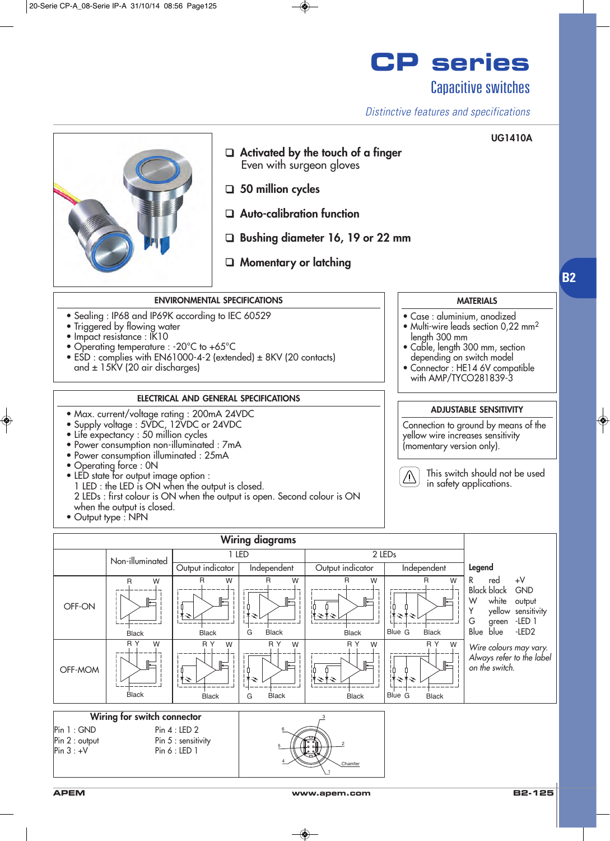## **CP series** Capacitive switches

### *Distinctive features and specifications*

**UG1410A**



❑ **Activated by the touch of a finger**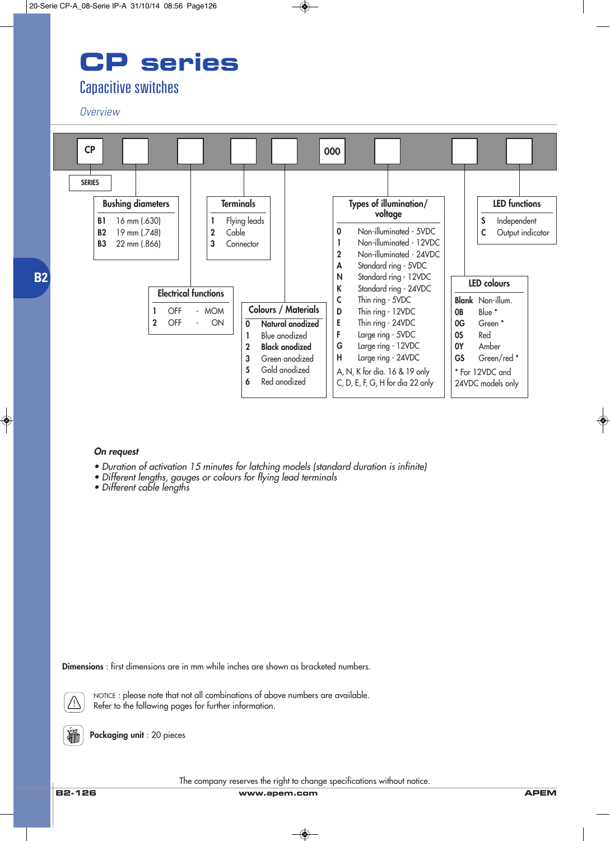# **CP series**

## Capacitive switches

#### *Overview*



#### *On request*

- *Duration of activation 15 minutes for latching models (standard duration is infinite)*
- *Different lengths, gauges or colours for flying lead terminals*
- *Different cable lengths*

**Dimensions** : first dimensions are in mm while inches are shown as bracketed numbers.



NOTICE : please note that not all combinations of above numbers are available. Refer to the following pages for further information.

**Packaging unit** : 20 pieces

The company reserves the right to change specifications without notice.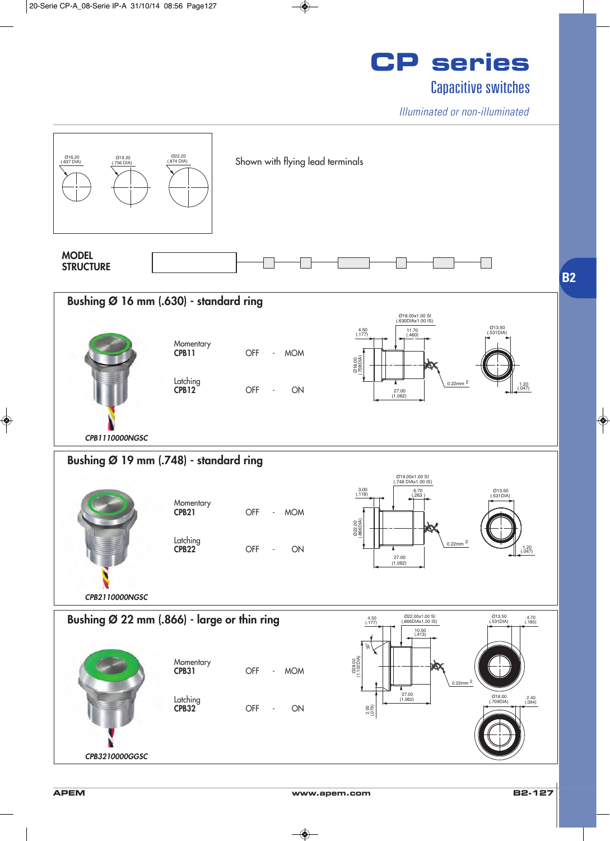

*Illuminated or non-illuminated*



**APEM www.apem.com B2-127**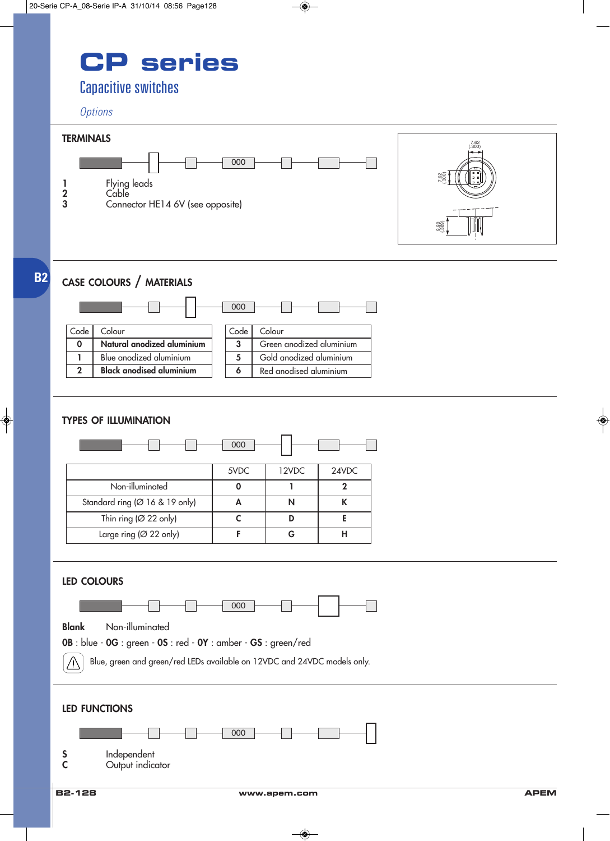# **CP series**

## Capacitive switches

#### *Options*



## **CASE COLOURS / MATERIALS**

**B2**



### **TYPES OF ILLUMINATION**

| 000                                 |      |       |       |
|-------------------------------------|------|-------|-------|
|                                     | 5VDC | 12VDC | 24VDC |
| Non-illuminated                     |      |       |       |
| Standard ring (Ø 16 & 19 only)      |      | N     |       |
| Thin ring ( $\varnothing$ 22 only)  |      |       | Е     |
| Large ring ( $\varnothing$ 22 only) |      |       |       |

#### **LED COLOURS**



**Blank** Non-illuminated



Blue, green and green/red LEDs available on 12VDC and 24VDC models only.  $\bigwedge$